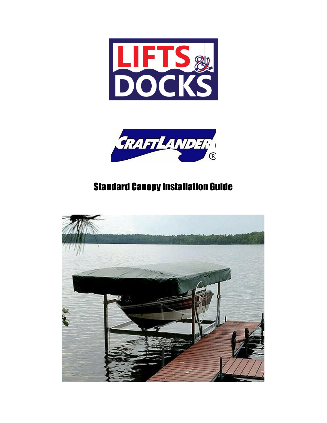



## Standard Canopy Installation Guide

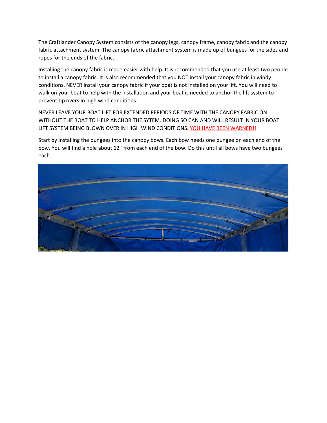The Craftlander Canopy System consists of the canopy legs, canopy frame, canopy fabric and the canopy fabric attachment system. The canopy fabric attachment system is made up of bungees for the sides and ropes for the ends of the fabric.

Installing the canopy fabric is made easier with help. It is recommended that you use at least two people to install a canopy fabric. It is also recommended that you NOT install your canopy fabric in windy conditions. NEVER install your canopy fabric if your boat is not installed on your lift. You will need to walk on your boat to help with the installation and your boat is needed to anchor the lift system to prevent tip overs in high wind conditions.

NEVER LEAVE YOUR BOAT LIFT FOR EXTENDED PERIODS OF TIME WITH THE CANOPY FABRIC ON WITHOUT THE BOAT TO HELP ANCHOR THE SYTEM. DOING SO CAN AND WILL RESULT IN YOUR BOAT LIFT SYSTEM BEING BLOWN OVER IN HIGH WIND CONDITIONS. YOU HAVE BEEN WARNED!!

Start by installing the bungees into the canopy bows. Each bow needs one bungee on each end of the bow. You will find a hole about 12" from each end of the bow. Do this until all bows have two bungees each.

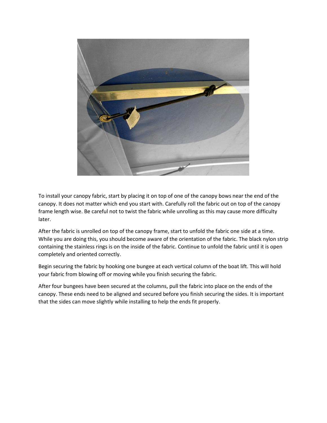

To install your canopy fabric, start by placing it on top of one of the canopy bows near the end of the canopy. It does not matter which end you start with. Carefully roll the fabric out on top of the canopy frame length wise. Be careful not to twist the fabric while unrolling as this may cause more difficulty later.

After the fabric is unrolled on top of the canopy frame, start to unfold the fabric one side at a time. While you are doing this, you should become aware of the orientation of the fabric. The black nylon strip containing the stainless rings is on the inside of the fabric. Continue to unfold the fabric until it is open completely and oriented correctly.

Begin securing the fabric by hooking one bungee at each vertical column of the boat lift. This will hold your fabric from blowing off or moving while you finish securing the fabric.

After four bungees have been secured at the columns, pull the fabric into place on the ends of the canopy. These ends need to be aligned and secured before you finish securing the sides. It is important that the sides can move slightly while installing to help the ends fit properly.